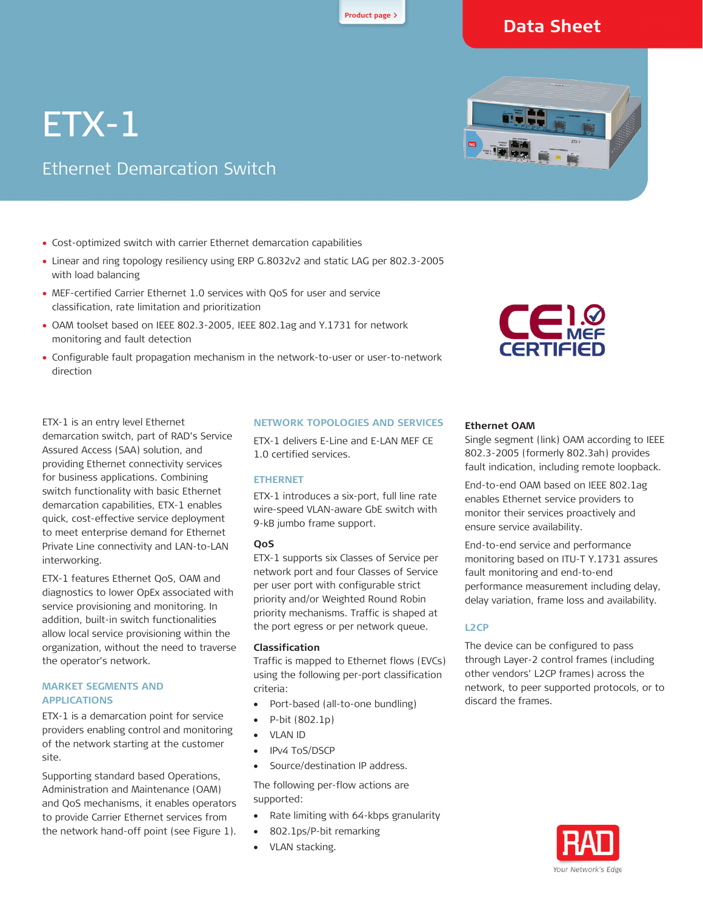## **[Product page](http://www.rad.com/10/Ethernet-Demarcation-Switch/27234/) <sup>&</sup>gt;**

## **Data Sheet**

# ETX-1

## Ethernet Demarcation Switch

- Cost-optimized switch with carrier Ethernet demarcation capabilities
- Linear and ring topology resiliency using ERP G.8032v2 and static LAG per 802.3-2005 with load balancing
- MEF-certified Carrier Ethernet 1.0 services with QoS for user and service classification, rate limitation and prioritization
- OAM toolset based on IEEE 802.3-2005, IEEE 802.1ag and Y.1731 for network monitoring and fault detection
- Configurable fault propagation mechanism in the network-to-user or user-to-network direction



ETX-1 is an entry level Ethernet demarcation switch, part of RAD's Service Assured Access (SAA) solution, and providing Ethernet connectivity services for business applications. Combining switch functionality with basic Ethernet demarcation capabilities, ETX-1 enables quick, cost-effective service deployment to meet enterprise demand for Ethernet Private Line connectivity and LAN-to-LAN interworking.

ETX-1 features Ethernet QoS, OAM and diagnostics to lower OpEx associated with service provisioning and monitoring. In addition, built-in switch functionalities allow local service provisioning within the organization, without the need to traverse the operator's network.

#### **MARKET SEGMENTS AND APPLICATIONS**

ETX-1 is a demarcation point for service providers enabling control and monitoring of the network starting at the customer site.

Supporting standard based Operations, Administration and Maintenance (OAM) and QoS mechanisms, it enables operators to provide Carrier Ethernet services from the network hand-off point (see [Figure 1\)](#page-0-0).

#### **NETWORK TOPOLOGIES AND SERVICES**

ETX-1 delivers E-Line and E-LAN MEF CE 1.0 certified services.

#### **ETHERNET**

ETX-1 introduces a six-port, full line rate wire-speed VLAN-aware GbE switch with 9-kB jumbo frame support.

#### **QoS**

ETX-1 supports six Classes of Service per network port and four Classes of Service per user port with configurable strict priority and/or Weighted Round Robin priority mechanisms. Traffic is shaped at the port egress or per network queue.

#### **Classification**

Traffic is mapped to Ethernet flows (EVCs) using the following per-port classification criteria:

- Port-based (all-to-one bundling)
- P-bit (802.1p)
- VLAN ID
- IPv4 ToS/DSCP
- Source/destination IP address.

The following per-flow actions are supported:

- Rate limiting with 64-kbps granularity
- 802.1ps/P-bit remarking
- <span id="page-0-0"></span>VLAN stacking.

#### **Ethernet OAM**

Single segment (link) OAM according to IEEE 802.3-2005 (formerly 802.3ah) provides fault indication, including remote loopback.

End-to-end OAM based on IEEE 802.1ag enables Ethernet service providers to monitor their services proactively and ensure service availability.

End-to-end service and performance monitoring based on ITU-T Y.1731 assures fault monitoring and end-to-end performance measurement including delay, delay variation, frame loss and availability.

#### **L2CP**

The device can be configured to pass through Layer-2 control frames (including other vendors' L2CP frames) across the network, to peer supported protocols, or to discard the frames.



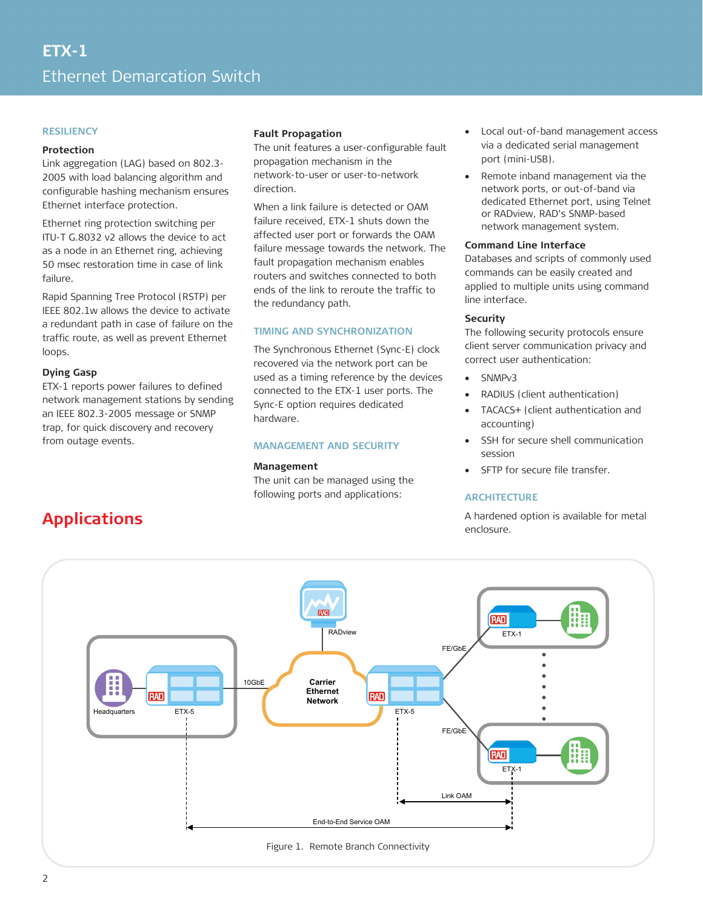#### **RESILIENCY**

#### **Protection**

Link aggregation (LAG) based on 802.3- 2005 with load balancing algorithm and configurable hashing mechanism ensures Ethernet interface protection.

Ethernet ring protection switching per ITU-T G.8032 v2 allows the device to act as a node in an Ethernet ring, achieving 50 msec restoration time in case of link failure.

Rapid Spanning Tree Protocol (RSTP) per IEEE 802.1w allows the device to activate a redundant path in case of failure on the traffic route, as well as prevent Ethernet loops.

#### **Dying Gasp**

ETX-1 reports power failures to defined network management stations by sending an IEEE 802.3-2005 message or SNMP trap, for quick discovery and recovery from outage events.

#### **Fault Propagation**

The unit features a user-configurable fault propagation mechanism in the network-to-user or user-to-network direction.

When a link failure is detected or OAM failure received, ETX-1 shuts down the affected user port or forwards the OAM failure message towards the network. The fault propagation mechanism enables routers and switches connected to both ends of the link to reroute the traffic to the redundancy path.

#### **TIMING AND SYNCHRONIZATION**

The Synchronous Ethernet (Sync-E) clock recovered via the network port can be used as a timing reference by the devices connected to the ETX-1 user ports. The Sync-E option requires dedicated hardware.

#### **MANAGEMENT AND SECURITY**

#### **Management**

The unit can be managed using the following ports and applications:

- Local out-of-band management access via a dedicated serial management port (mini-USB).
- Remote inband management via the network ports, or out-of-band via dedicated Ethernet port, using Telnet or RADview, RAD's SNMP-based network management system.

#### **Command Line Interface**

Databases and scripts of commonly used commands can be easily created and applied to multiple units using command line interface.

#### **Security**

The following security protocols ensure client server communication privacy and correct user authentication:

- SNMPv3
- RADIUS (client authentication)
- TACACS+ (client authentication and accounting)
- SSH for secure shell communication session
- SFTP for secure file transfer.

#### **ARCHITECTURE**

A hardened option is available for metal enclosure.



## **Applications**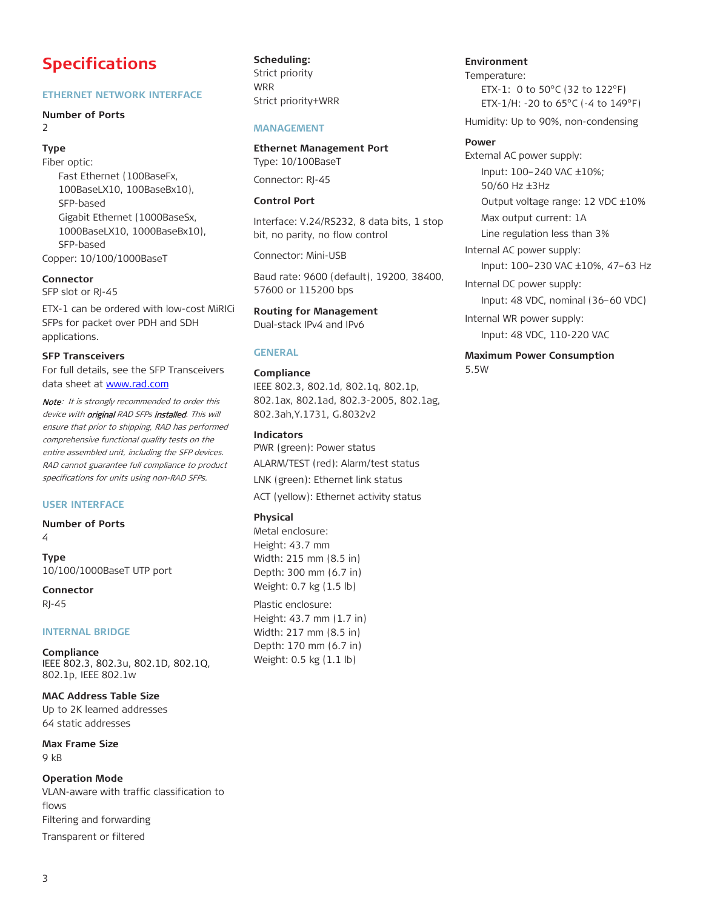## **Specifications**

#### **ETHERNET NETWORK INTERFACE**

#### **Number of Ports**  $\overline{2}$

**Type**

Fiber optic: Fast Ethernet (100BaseFx, 100BaseLX10, 100BaseBx10), SFP-based Gigabit Ethernet (1000BaseSx, 1000BaseLX10, 1000BaseBx10), SFP-based Copper: 10/100/1000BaseT

#### **Connector**

SFP slot or RJ-45

ETX-1 can be ordered with low-cost MiRICi SFPs for packet over PDH and SDH applications.

#### **SFP Transceivers**

For full details, see the SFP Transceivers data sheet at [www.rad.com](http://www.rad.com/)

Note: It is strongly recommended to order this device with *original RAD SFPs installed*. This will ensure that prior to shipping, RAD has performed comprehensive functional quality tests on the entire assembled unit, including the SFP devices. RAD cannot guarantee full compliance to product specifications for units using non-RAD SFPs.

#### **USER INTERFACE**

**Number of Ports** 4

**Type** 10/100/1000BaseT UTP port

**Connector** RJ-45

#### **INTERNAL BRIDGE**

**Compliance** IEEE 802.3, 802.3u, 802.1D, 802.1Q, 802.1p, IEEE 802.1w

**MAC Address Table Size** Up to 2K learned addresses 64 static addresses

**Max Frame Size** 9 kB

**Operation Mode** VLAN-aware with traffic classification to flows Filtering and forwarding Transparent or filtered

**Scheduling:** Strict priority WRR Strict priority+WRR

#### *12B***MANAGEMENT**

**Ethernet Management Port** Type: 10/100BaseT

Connector: RJ-45

#### **Control Port**

Interface: V.24/RS232, 8 data bits, 1 stop bit, no parity, no flow control

Connector: Mini-USB

Baud rate: 9600 (default), 19200, 38400, 57600 or 115200 bps

**Routing for Management** Dual-stack IPv4 and IPv6

#### *13B***GENERAL**

## **Compliance**

IEEE 802.3, 802.1d, 802.1q, 802.1p, 802.1ax, 802.1ad, 802.3-2005, 802.1ag, 802.3ah,Y.1731, G.8032v2

**Indicators**

PWR (green): Power status ALARM/TEST (red): Alarm/test status LNK (green): Ethernet link status

ACT (yellow): Ethernet activity status

#### **Physical**

Metal enclosure: Height: 43.7 mm Width: 215 mm (8.5 in) Depth: 300 mm (6.7 in) Weight: 0.7 kg (1.5 lb)

Plastic enclosure: Height: 43.7 mm (1.7 in) Width: 217 mm (8.5 in) Depth: 170 mm (6.7 in) Weight: 0.5 kg (1.1 lb)

**Environment** Temperature: ETX-1: 0 to 50°C (32 to 122°F) ETX-1/H: -20 to 65°C (-4 to 149°F)

Humidity: Up to 90%, non-condensing

#### **Power**

5.5W

External AC power supply: Input: 100–240 VAC ±10%; 50/60 Hz ±3Hz Output voltage range: 12 VDC ±10% Max output current: 1A Line regulation less than 3% Internal AC power supply: Input: 100–230 VAC ±10%, 47–63 Hz Internal DC power supply: Input: 48 VDC, nominal (36–60 VDC) Internal WR power supply: Input: 48 VDC, 110-220 VAC **Maximum Power Consumption**